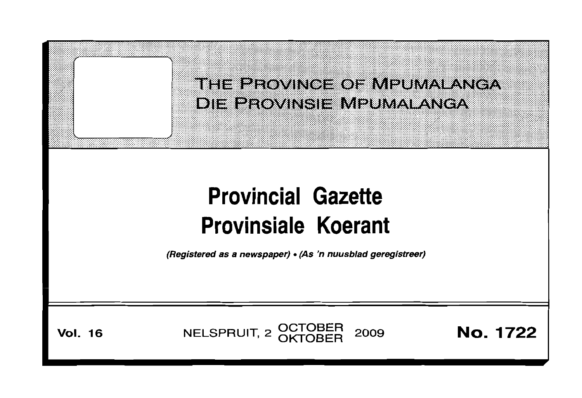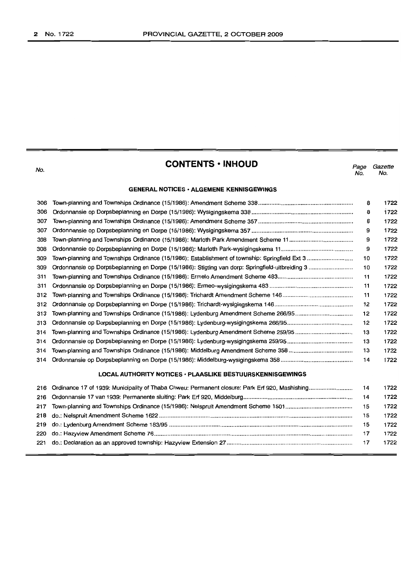$\equiv$ 

| No.                                                       | <b>CONTENTS • INHOUD</b>                                                           | Page<br>No. | Gazette<br>No. |  |  |
|-----------------------------------------------------------|------------------------------------------------------------------------------------|-------------|----------------|--|--|
|                                                           | <b>GENERAL NOTICES · ALGEMENE KENNISGEWINGS</b>                                    |             |                |  |  |
| 306                                                       |                                                                                    | 8           | 1722           |  |  |
| 306                                                       |                                                                                    | 8           | 1722           |  |  |
| 307                                                       |                                                                                    | 8           | 1722           |  |  |
| 307                                                       |                                                                                    | 9           | 1722           |  |  |
| 308                                                       |                                                                                    | 9           | 1722           |  |  |
| 308                                                       |                                                                                    | 9           | 1722           |  |  |
| 309                                                       |                                                                                    | 10          | 1722           |  |  |
| 309                                                       |                                                                                    | 10          | 1722           |  |  |
| 311                                                       |                                                                                    | 11          | 1722           |  |  |
| 311                                                       |                                                                                    | 11          | 1722           |  |  |
| 312                                                       |                                                                                    | 11          | 1722           |  |  |
| 312                                                       |                                                                                    | 12          | 1722           |  |  |
| 313                                                       | Town-planning and Townships Ordinance (15/1986): Lydenburg Amendment Scheme 266/95 | 12          | 1722           |  |  |
| 313                                                       |                                                                                    | 12          | 1722           |  |  |
| 314                                                       |                                                                                    | 13          | 1722           |  |  |
| 314                                                       |                                                                                    | 13          | 1722           |  |  |
| 314                                                       |                                                                                    | 13          | 1722           |  |  |
| 314                                                       |                                                                                    | 14          | 1722           |  |  |
| LOCAL AUTHORITY NOTICES · PLAASLIKE BESTUURSKENNISGEWINGS |                                                                                    |             |                |  |  |
| 216                                                       |                                                                                    | 14          | 1722           |  |  |
| 216                                                       |                                                                                    | 14          | 1722           |  |  |
| 217                                                       |                                                                                    | 15          | 1722           |  |  |
| 218                                                       |                                                                                    | 15          | 1722           |  |  |
| 219                                                       |                                                                                    | 15          | 1722           |  |  |
| 220                                                       |                                                                                    | 17          | 1722           |  |  |
| 221                                                       |                                                                                    | 17          | 1722           |  |  |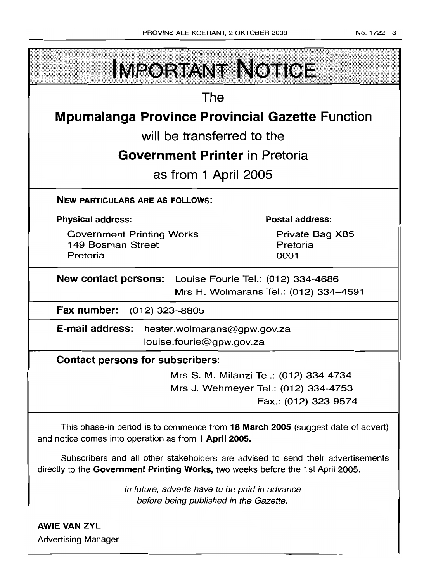| <b>IMPORTANT NOTICE</b>                                                                                                                                            |                                      |  |  |  |  |
|--------------------------------------------------------------------------------------------------------------------------------------------------------------------|--------------------------------------|--|--|--|--|
| The                                                                                                                                                                |                                      |  |  |  |  |
| <b>Mpumalanga Province Provincial Gazette Function</b>                                                                                                             |                                      |  |  |  |  |
| will be transferred to the                                                                                                                                         |                                      |  |  |  |  |
| <b>Government Printer</b> in Pretoria                                                                                                                              |                                      |  |  |  |  |
| as from 1 April 2005                                                                                                                                               |                                      |  |  |  |  |
| <b>NEW PARTICULARS ARE AS FOLLOWS:</b>                                                                                                                             |                                      |  |  |  |  |
| <b>Physical address:</b>                                                                                                                                           | <b>Postal address:</b>               |  |  |  |  |
| <b>Government Printing Works</b><br>149 Bosman Street<br>Pretoria                                                                                                  | Private Bag X85<br>Pretoria<br>0001  |  |  |  |  |
| New contact persons: Louise Fourie Tel.: (012) 334-4686<br>Mrs H. Wolmarans Tel.: (012) 334-4591                                                                   |                                      |  |  |  |  |
| Fax number: (012) 323-8805                                                                                                                                         |                                      |  |  |  |  |
| E-mail address:<br>hester.wolmarans@gpw.gov.za<br>louise.fourie@gpw.gov.za                                                                                         |                                      |  |  |  |  |
| <b>Contact persons for subscribers:</b>                                                                                                                            |                                      |  |  |  |  |
| Mrs S. M. Milanzi Tel.: (012) 334-4734                                                                                                                             |                                      |  |  |  |  |
|                                                                                                                                                                    | Mrs J. Wehmeyer Tel.: (012) 334-4753 |  |  |  |  |
|                                                                                                                                                                    | Fax.: (012) 323-9574                 |  |  |  |  |
| This phase-in period is to commence from 18 March 2005 (suggest date of advert)<br>and notice comes into operation as from 1 April 2005.                           |                                      |  |  |  |  |
| Subscribers and all other stakeholders are advised to send their advertisements<br>directly to the Government Printing Works, two weeks before the 1st April 2005. |                                      |  |  |  |  |
|                                                                                                                                                                    |                                      |  |  |  |  |

In future, adverts have to be paid in advance before being published in the Gazette.

AWIE VAN ZVL Advertising Manager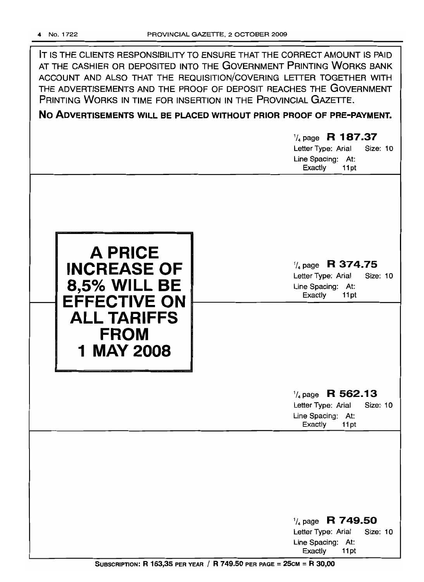| IT IS THE CLIENTS RESPONSIBILITY TO ENSURE THAT THE CORRECT AMOUNT IS PAID<br>AT THE CASHIER OR DEPOSITED INTO THE GOVERNMENT PRINTING WORKS BANK<br>ACCOUNT AND ALSO THAT THE REQUISITION/COVERING LETTER TOGETHER WITH<br>THE ADVERTISEMENTS AND THE PROOF OF DEPOSIT REACHES THE GOVERNMENT<br>PRINTING WORKS IN TIME FOR INSERTION IN THE PROVINCIAL GAZETTE. |                                                                                    |  |  |  |  |
|-------------------------------------------------------------------------------------------------------------------------------------------------------------------------------------------------------------------------------------------------------------------------------------------------------------------------------------------------------------------|------------------------------------------------------------------------------------|--|--|--|--|
| NO ADVERTISEMENTS WILL BE PLACED WITHOUT PRIOR PROOF OF PRE-PAYMENT.                                                                                                                                                                                                                                                                                              |                                                                                    |  |  |  |  |
|                                                                                                                                                                                                                                                                                                                                                                   | $\frac{1}{4}$ page R 187.37<br>Letter Type: Arial<br>Size: 10<br>Line Spacing: At: |  |  |  |  |
|                                                                                                                                                                                                                                                                                                                                                                   | Exactly<br>11pt                                                                    |  |  |  |  |
|                                                                                                                                                                                                                                                                                                                                                                   |                                                                                    |  |  |  |  |
|                                                                                                                                                                                                                                                                                                                                                                   |                                                                                    |  |  |  |  |



1/4 page R 374.75

Letter Type: Arial Size: 10 Line Spacing: At:<br>Exactly 11pt Exactly

# $\frac{1}{4}$  page R 562.13

Letter Type: Arial Size: 10 Line Spacing: At:<br>Exactly 11pt Exactly

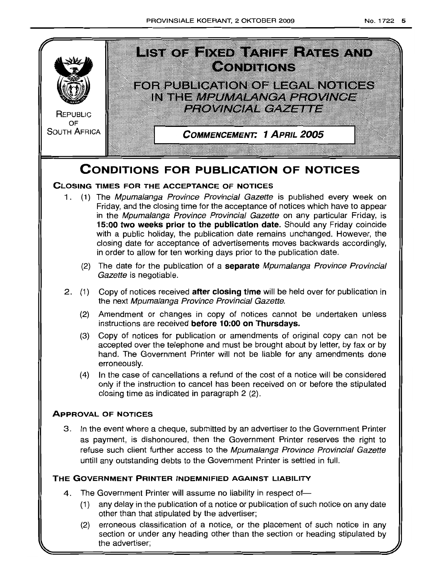

(2) erroneous classification of a notice, or the placement of such notice in any section or under any heading other than the section or heading stipulated by the advertiser;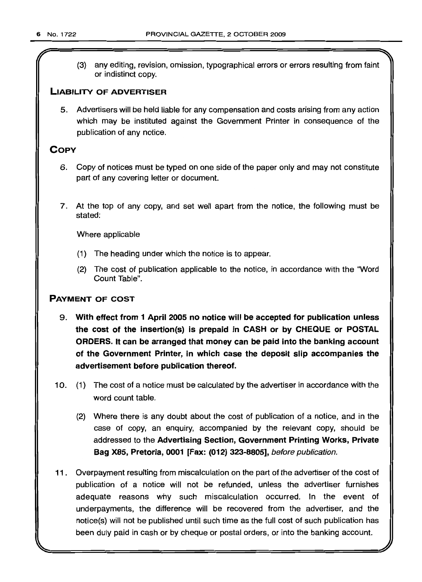(3) any editing, revision, omission, typographical errors or errors resulting from faint or indistinct copy.

# **LIABILITY OF ADVERTISER**

5. Advertisers will be held liable for any compensation and costs arising from any action which may be instituted against the Government Printer in consequence of the publication of any notice.

# **COpy**

- 6. Copy of notices must be typed on one side of the paper only and may not constitute part of any covering letter or document.
- 7. At the top of any copy, and set well apart from the notice, the following must be stated:

Where applicable

- (1) The heading under which the notice is to appear.
- (2) The cost of publication applicable to the notice, in accordance with the "Word Count Table".

# **PAYMENT OF COST**

- 9. **With effect from 1 April 2005 no notice will be accepted for publication unless the cost of the insertion(s) is prepaid in CASH or by CHEQUE or POSTAL ORDERS. It can be arranged that money can be paid into the banking account of the Government Printer, in which case the deposit slip accompanies the advertisement before publication thereof.**
- 10. (1) The cost of a notice must be calculated by the advertiser in accordance with the word count table.
	- (2) Where there is any doubt about the cost of publication of a notice, and in the case of copy, an enquiry, accompanied by the relevant copy, should be addressed to the **Advertising Section, Government Printing Works, Private Bag X85, Pretoria, 0001 [Fax: (012) 323-8805],** before publication.
- **11.** Overpayment resulting from miscalculation on the part of the advertiser of the cost of publication of a notice will not be refunded, unless the advertiser furnishes adequate reasons why such miscalculation occurred. In the event of underpayments, the difference will be recovered from the advertiser, and the notice(s) will not be published until such time as the full cost of such publication has been duly paid in cash or by cheque or postal orders, or into the banking account.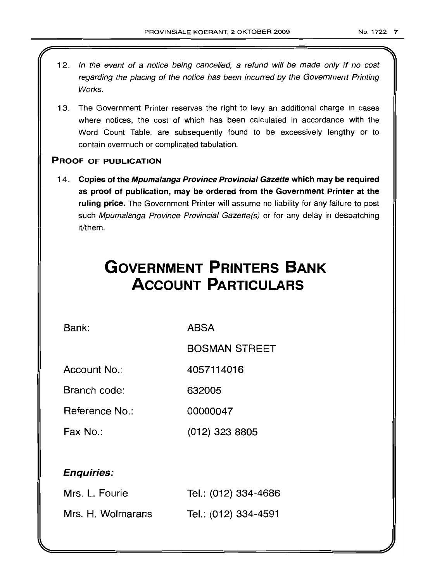- 12. In the event of a notice being cancelled, a refund will be made only if no cost regarding the placing of the notice has been incurred by the Government Printing Works.
- 13. The Government Printer reserves the right to levy an additional charge in cases where notices, the cost of which has been calculated in accordance with the Word Count Table, are subsequently found to be excessively lengthy or to contain overmuch or complicated tabulation.

# PROOF OF PUBLICATION

14. Copies of the Mpumalanga Province Provincial Gazette which may be required as proof of publication, may be ordered from the Government Printer at the ruling price. The Government Printer will assume no liability for any failure to post such Mpumalanga Province Provincial Gazette(s) or for any delay in despatching it/them.

# **GOVERNMENT PRINTERS BANK ACCOUNT PARTICULARS**

Bank: ABSA

BOSMAN STREET

Account No.: 4057114016

Branch code: 632005

Reference No.: 00000047

Fax No.: (012) 323 8805

# Enquiries:

| Mrs. L. Fourie    | Tel.: (012) 334-4686 |
|-------------------|----------------------|
| Mrs. H. Wolmarans | Tel.: (012) 334-4591 |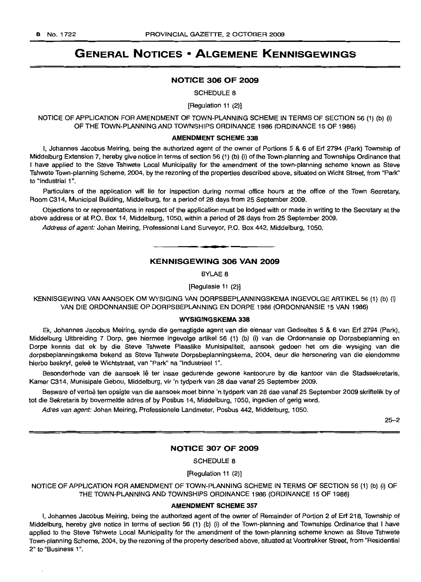# **GENERAL NOTICES • ALGEMENE KENNISGEWINGS**

## NOTICE 306 OF 2009

SCHEDULE 8

[Regulation 11 (2)]

NOTICE OF APPLICATION FOR AMENDMENT OF TOWN-PLANNING SCHEME IN TERMS OF SECTION 56 (1) (b) (i) OF THE TOWN-PLANNING AND TOWNSHIPS ORDINANCE 1986 (ORDINANCE 15 OF 1986)

### AMENDMENT SCHEME 338

I, Johannes Jacobus Meiring, being the authorized agent of the owner of Portions 5 & 6 of Erf 2794 (Park) Township of Middelburg Extension 7, hereby give notice in terms of section 56 (1) (b) (i) of the Town-planning and Townships Ordinance that I have applied to the Steve Tshwete Local Municipality for the amendment of the town-planning scheme known as Steve Tshwete Town-planning Scheme, 2004, by the rezoning of the properties described above, situated on Wicht Street, from "Park" to "Industrial 1".

Particulars of the application will lie for inspection during normal office hours at the office of the Town Secretary, Room C314, Municipal Building, Middelburg, for a period of 28 days from 25 September 2009.

Objections to or representations in respect of the application must be lodged with or made in writing to the Secretary at the above address or at P.O. Box 14, Middelburg, 1050, within a period of 28 days from 25 September 2009.

Address of agent: Johan Meiring, Professional Land Surveyor, P.O. Box 442, Middelburg, 1050.

# KENNISGEWING 306 VAN 2009

BYLAE 8

[Regulasie 11 (2)]

KENNISGEWING VAN AANSOEK OM WYSIGING VAN DORPSBEPLANNINGSKEMA INGEVOLGEARTIKEL56 (1) (b) (i) VAN DIE ORDONNANSIE OP DORPSBEPLANNING EN DORPE 1986 (ORDONNANSIE 15 VAN 1986)

### WYSIGINGSKEMA 338

Ek, Johannes Jacobus Meiring, synde die gemagtigde agent van die eienaar van Gedeeltes 5 & 6 van Erf 2794 (Park), Middelburg Uitbreiding 7 Dorp, gee hiermee ingevolge artikel 56 (1) (b) (i) van die Ordonnansie op Dorpsbeplanning en Dorpe kennis dat ek by die Steve Tshwete Plaaslike Munisipaliteit, aansoek gedoen het om die wysiging van die dorpsbeplanningskema bekend as Steve Tshwete Dorpsbeplanningskema, 2004, deur die hersonering van die eiendomme hierbo beskryf, geleë te Wichtstraat, van "Park" na "Industrieel 1".

Besonderhede van die aansoek lê ter insae gedurende gewone kantoorure by die kantoor van die Stadssekretaris, Kamer C314, Munisipale Gebou, Middelburg, vir 'n tydperk van 28 dae vanaf 25 September 2009.

Besware of vertoë ten opsigte van die aansoek moet binne 'n tydperk van 28 dae vanaf 25 September 2009 skriftelik by of tot die Sekretaris by bovermelde adres of by Posbus 14, Middelburg, 1050, ingedien of gerig word.

Adres van agent: Johan Meiring, Professionele Landmeter, Posbus 442, Middelburg, 1050.

25-2

# NOTICE 307 OF 2009

SCHEDULE 8

[Regulation 11 (2)]

NOTICE OF APPLICATION FOR AMENDMENT OF TOWN-PLANNING SCHEME IN TERMS OF SECTION 56 (1) (b) (i) OF THE TOWN-PLANNING AND TOWNSHIPS ORDINANCE 1986 (ORDINANCE 15 OF 1986)

### AMENDMENT SCHEME 357

I, Johannes Jacobus Meiring, being the authorized agent of the owner of Remainder of Portion 2 of Erf 218, Township of Middelburg, hereby give notice in terms of section 56 (1) (b) (i) of the Town-planning and Townships Ordinance that I have applied to the Steve Tshwete Local Municipality for the amendment of the town-planning scheme known as Steve Tshwete Town-planning Scheme, 2004, by the rezoning of the property described above, situated at Voortrekker Street, from "Residential 2" to "Business 1".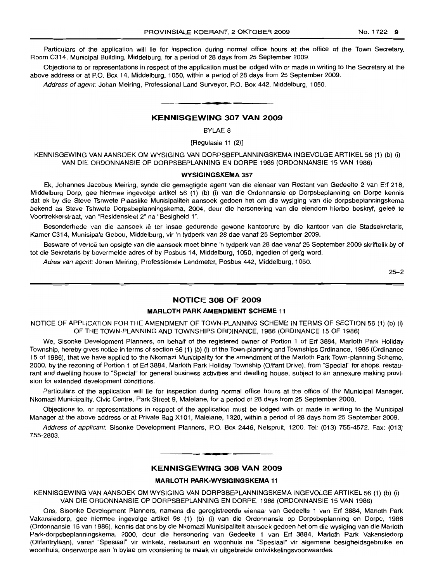Particulars of the application will lie for inspection during normal office hours at the office of the Town Secretary, Room C314, Municipal Building, Middelburg, for a period of 28 days from 25 September 2009.

Objections to or representations in respect of the application must be lodged with or made in writing to the Secretary at the above address or at P.O. Box 14, Middelburg, 1050, within a period of 28 days from 25 September 2009.

Address of agent: Johan Meiring, Professional Land Surveyor, P.O. Box 442, Middelburg, 1050. **.-**

# KENNISGEWING 307 VAN 2009

BYLAE 8

[Regulasie 11 (2)]

KENNISGEWING VAN AANSOEK OM WYSIGING VAN DORPSBEPLANNINGSKEMA INGEVOLGE ARTIKEL 56 (1) (b) (i) VAN DIE ORDONNANSIE OP DORPSBEPLANNING EN DORPE 1986 (ORDONNANSIE 15 VAN 1986)

### WYSIGINGSKEMA 357

Ek, Johannes Jacobus Meiring, synde die gemagtigde agent van die eienaar van Restant van Gedeelte 2 van Erf 218, Middelburg Dorp, gee hiermee ingevolge artikel 56 (1) (b) (i) van die Ordonnansie op Dorpsbeplanning en Dorpe kennis dat ek by die Steve Tshwete Plaaslike Munisipaliteit aansoek gedoen het om die wysiging van die dorpsbeplanningskema bekend as Steve Tshwete Dorpsbeplanningskema, 2004, deur die hersonering van die eiendom hierbo beskryf, geleë te Voortrekkerstraat, van "Residensieel 2" na "Besigheid 1".

Besonderhede van die aansoek lê ter insae gedurende gewone kantoorure by die kantoor van die Stadsekretaris, Kamer C314, Munisipale Gebou, Middelburg, vir 'n tydperk van 28 dae vanaf 25 September 2009.

Besware of vertoë ten opsigte van die aansoek moet binne 'n tydperk van 28 dae vanaf 25 September 2009 skriftelik by of tot die Sekretaris by bovermelde adres of by Posbus 14, Middelburg, 1050, ingedien of gerig word.

Adres van agent: Johan Meiring, Professionele Landmeter, Posbus 442, Middelburg, 1050.

25-2

# NOTICE 308 OF 2009

### MARLOTH PARK AMENDMENT SCHEME 11

NOTICE OF APPLICATION FOR THE AMENDMENT OF TOWN-PLANNING SCHEME IN TERMS OF SECTION 56 (1) (b) (i) OF THE TOWN-PLANNING AND TOWNSHIPS ORDINANCE, 1986 (ORDINANCE 15 OF 1986)

We, Sisonke Development Planners, on behalf of the registered owner of Portion 1 of Erf 3884, Marloth Park Holiday Township, hereby gives notice in terms of section 56 (1) (b) (i) of the Town-planning and Townships Ordinance, 1986 (Ordinance 15 of 1986), that we have applied to the Nkomazi Municipality for the amendment of the Marloth Park Town-planning Scheme, 2000, by the rezoning of Portion 1 of Erf 3884, Marloth Park Holiday Township (Olifant Drive), from "Special" for shops, restaurant and dwelling house to "Special" for general business activities and dwelling house, subject to an annexure making provision for extended development conditions.

Particulars of the application will lie for inspection during normal office hours at the office of the Municipal Manager, Nkomazi Municipality, Civic Centre, Park Street 9, Malelane, for a period of 28 days from 25 September 2009.

Objections to, or representations in respect of the application must be lodged with or made in writing to the Municipal Manager at the above address or at Private Bag X101, Malelane, 1320, within a period of 28 days from 25 September 2009.

Address of applicant: Sisonke Development Planners, P.O. Box 2446, Nelspruit, 1200. Tel: (013) 755-4572. Fax: (013) 755-2803.

# **•** KENNISGEWING 308 VAN 2009

### MARLOTH PARK-WYSIGINGSKEMA 11

KENNISGEWING VAN AANSOEK OM WYSIGING VAN DORPSBEPLANNINGSKEMA INGEVOLGE ARTIKEL 56 (1) (b) (i) VAN DIE ORDONNANSIE OP DORPSBEPLANNING EN DORPE, 1986 (ORDONNANSIE 15 VAN 1986)

Ons, Sisonke Development Planners, namens die geregistreerde eienaar *van* Gedeelte 1 van Erf 3884, Marloth Park Vakansiedorp, gee hiermee ingevolge artikel 56 (1) (b) (i) van die Ordonnansie op Dorpsbeplanning en Dorpe, 1986 (Ordonnansie 15 van 1986), kennis dat ons by die Nkomazi Munisipaliteit aansoek gedoen het om die wysiging van die Marloth Park-dorpsbeplanningskema, 2000, deur die hersonering van Gedeelte 1 van Erf 3884, Marloth Park Vakansiedorp (Olifantrylaan), vanaf "Spesiaal" vir winkels, restaurant en woonhuis na "Spesiaal" vir algemene besigheidsgebruike en woonhuis, onderworpe aan 'n bylae om voorsiening te maak vir uitgebreide ontwikkelingsvoorwaardes.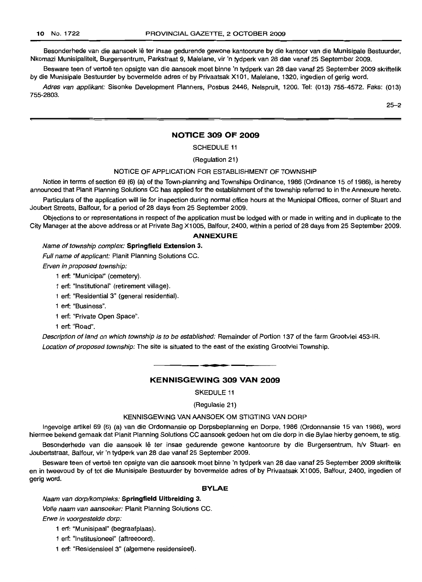Besonderhede van die aansoek lê ter insae gedurende gewone kantoorure by die kantoor van die Munisipale Bestuurder, Nkomazi Munisipaliteit, Burgersentrum, Parkstraat 9, Malelane, vir 'n tydperk van 28 dae vanaf 25 September 2009.

Besware teen of vertoë ten opsigte van die aansoek moet binne 'n tydperk van 28 dae vanaf 25 September 2009 skriftelik by die Munisipale Bestuurder by bovermelde adres of by Privaatsak X101, Malelane, 1320, ingedien of gerig word.

Adres van applikant: Sisonke Development Planners, Posbus 2446, Nelspruit, 1200. Tel: (013) 755-4572. Faks: (013) 755-2803.

25-2

# **NOTICE 309 OF 2009**

SCHEDULE 11

(Regulation 21)

## NOTICE OF APPLICATION FOR ESTABLISHMENT OF TOWNSHIP

Notice in terms of section 69 (6) (a) of the Town-planning and Townships Ordinance, 1986 (Ordinance 15 of 1986), is hereby announced that Planit Planning Solutions CC has applied for the establishment of the township referred to in the Annexure hereto.

Particulars of the application will lie for inspection during normal office hours at the Municipal Offices, corner of Stuart and Joubert Streets, Balfour, for a period of 28 days from 25 September 2009.

Objections to or representations in respect of the application must be lodged with or made in writing and in duplicate to the City Manager at the above address or at Private Bag X1005, Balfour, 2400, within a period of 28 days from 25 September 2009.

# **ANNEXURE**

### Name of township complex: **Springfield Extension** 3.

Full name of applicant: Planit Planning Solutions CC.

Erven in proposed township:

- 1 ert: "Municipal" (cemetery).
- 1 ert: "Institutional" (retirement village).
- 1 ert: "Residential 3" (general residential).
- 1 ert: "Business".
- 1 ert: "Private Open Space".
- 1 ert: "Road".

Description of land on which township is to be established: Remainder of Portion 137 of the farm Grootvlei 453-IR. Location of proposed township: The site is situated to the east of the existing Grootvlei Township.

# **• KENNISGEWING 309 VAN 2009**

SKEDULE 11

(Regulasie 21)

#### KENNISGEWING VAN AANSOEK OM STIGTING VAN DORP

Ingevolge artikel 69 (6) (a) van die Ordonnansie op Dorpsbeplanning en Darpe, 1986 (Ordonnansie 15 van 1986), word hiermee bekend gemaak dat Planit Planning Solutions CC aansoek gedoen het om die dorp in die Bylae hierby genoem, te stig.

Besonderhede van die aansoek lê ter insae gedurende gewone kantoorure by die Burgersentrum, h/v Stuart- en Joubertstraat, Balfour, vir 'n tydperk van 28 dae vanaf 25 September 2009.

Besware teen of vertoë ten opsigte van die aansoek moet binne 'n tydperk van 28 dae vanaf 25 September 2009 skriftelik en in tweevoud by of tot die Munisipale Bestuurder by bovermelde adres of by Privaatsak X1005, Balfour, 2400, ingedien of gerig word.

#### **BYLAE**

Naam van dorplkompleks: **Springfield Uitbreiding** 3.

Volle naam van aansoeker: Planit Planning Solutions CC.

Erwe in voorgestelde dorp:

- 1 ert: "Munisipaal" (begraafplaas).
- 1 ert: "Institusioneel" (aftreeoord).
- 1 ert: "Residensieel 3" (algemene residensieel).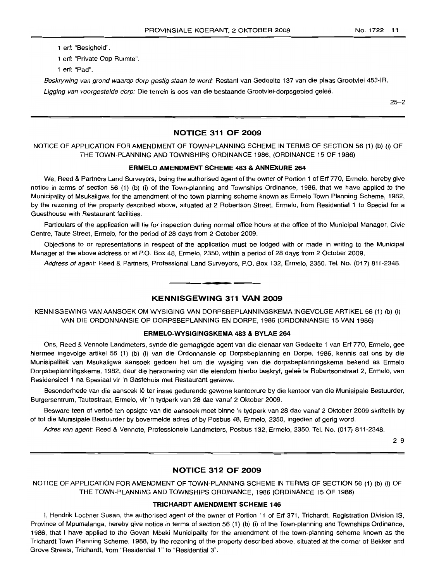1 ert: "Besigheid".

1 ert: "Private Oop Hurmte".

1 ert: "Pad".

Beskrywing van grond waarop dorp gestig staan te word: Restant van Gedeelte 137 van die plaas Grootvlei 453-IR.

Ligging van voorgestelde dorp: Die terrein is oos van die bestaande Grootvlei-dorpsgebied geleë.

 $25 - 2$ 

# **NOTICE 311 OF 2009**

NOTICE OF APPLICATION FOR AMENDMENT OF TOWN-PLANNING SCHEME IN TERMS OF SECTION 56 (1) (b) (i) OF THE TOWN-PLANNING AND TOWNSHIPS ORDINANCE 1986, (ORDINANCE 15 OF 1986)

# **ERMELO AMENDMENT SCHEME 483 & ANNEXURE 264**

We, Reed & Partners Land Surveyors, being the authorised agent of the owner of Portion 1 of Ert 770, Ermelo, hereby give notice in terms of section 56 (1) (b) (i) of the Town-planning and Townships Ordinance, 1986, that we have applied to the Municipality of Msukaligwa for the amendment of the town-planning scheme known as Ermelo Town Planning Scheme, 1982, by the rezoning of the property described above, situated at 2 Robertson Street, Ermelo, from Residential 1 to Special for a Guesthouse with Restaurant facilities.

Particulars of the application will lie for inspection during normal office hours at the office of the Municipal Manager, Civic Centre, Taute Street, Ermelo, for the period of 28 days from 2 October 2009.

Objections to or representations in respect of the application must be lodged with or made in writing to the Municipal Manager at the above address or at P.O. Box 48, Ermelo, 2350, within a period of 28 days from 2 October 2009.

Address of agent: Reed & Partners, Professional Land Surveyors, P.O. Box 132, Ermelo, 2350. Tel. No. (017) 811-2348.

# **KENNISGEWING 311 VAN 2009**

**•**

KENNISGEWING VAN AANSOEK OM WYSIGING VAN DORPSBEPLANNINGSKEMA INGEVOLGE ARTIKEL 56 (1) (b) (i) VAN DIE ORDONNANSIE OP DORPSBEPLANNING EN DORPE, 1986 (ORDONNANSIE 15 VAN 1986)

### **ERMELO-WYSIGINGSKEMA 483 & BYLAE 264**

Ons, Reed & Vennote Landmeters, synde die gemagtigde agent van die eienaar van Gedeelte 1 van Ert 770, Ermelo, gee hiermee ingevolge artikel 56 (1) (b) (i) van die Ordonnansie op Dorpsbeplanning en Dorpe, 1986, kennis dat ons by die Munisipaliteit van Msukaligwa aansoek gedoen het om die wysiging van die dorpsbeplanningskema bekend as Ermelo Dorpsbeplanningskema, 1982, deur die hersonering van die eiendom hierbo beskryf, geleë te Robertsonstraat 2, Ermelo, van Residensieel 1 na Spesiaal vir 'n Gastehuis met Restaurant geriewe.

Besonderhede van die aansoek lê ter insae gedurende gewone kantoorure by die kantoor van die Munisipale Bestuurder, Burgersentrum, Tautestraat, Errnelo, vir 'n tydperk van 28 dae vanaf 2 Oktober 2009.

Besware teen of vertoe ten opsigte van die aansoek moet binne 'n tydperk van 28 dae vanaf 2 Oktober 2009 skriftelik by of tot die Munisipale Bestuurder by bovermelde adres of by Posbus 48, Ermelo, 2350, ingedien of gerig word.

Adres van agent: Reed & Vennote, Professionele Landmeters, Posbus 132, Ermelo, 2350. Tel. No. (017) 811-2348.

2-9

# **NOTICE 312 OF 2009**

NOTICE OF APPLICATION FOR AMENDMENT OF TOWN-PLANNING SCHEME IN TERMS OF SECTION 56 (1) (b) (i) OF THE TOWN-PLANNING AND TOWNSHIPS ORDINANCE, 1986 (ORDINANCE 15 OF 1986)

### **TRICHARDT AMENDMENT SCHEME 146**

I, Hendrik Lochner Susan, the authorised agent of the owner of Portion 11 of Erf 371, Trichardt, Registration Division IS, Province of Mpumalanga, hereby give notice in terms of section 56 (1) (b) (i) of the Town-planning and Townships Ordinance, 1986, that I have applied to the Govan Mbeki Municipality for the amendment of the town-planning scheme known as the Trichardt Town Planning Scheme, 1988, by the rezoning of the property described above, situated at the corner of Bekker and Grove Streets, Trichardt, from "Residential 1" to "Residential 3".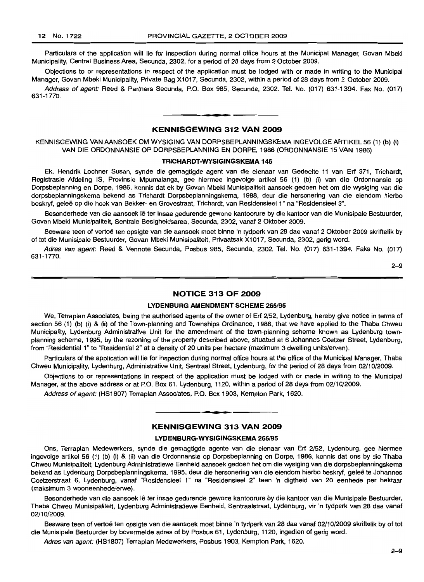Particulars of the application will lie for inspection during normal office hours at the Municipal Manager, Govan Mbeki Municipality, Central Business Area, Secunda, 2302, for a period of 28 days from 2 October 2009.

Objections to or representations in respect of the application must be lodged with or made in writing to the Municipal Manager, Govan Mbeki Municipality, Private Bag X1017, Secunda, 2302, within a period of 28 days from 2 October 2009.

Address of agent: Reed & Partners Secunda, P.O. Box 985, Secunda, 2302. Tel. No. (017) 631-1394. Fax No. (017) 631-1770.

# **KENNISGEWING 312 VAN 2009**

**• •**

KENNISGEWING VAN AANSOEK OM WYSIGING VAN DORPSBEPLANNINGSKEMA INGEVOLGE ARTIKEL 56 (1) (b) (i) VAN DIE ORDONNANSIE OP DORPSBEPLANNING EN DORPE, 1986 (ORDONNANSIE 15 VAN 1986)

### **TRICHARDT-WYSIGINGSKEMA 146**

Ek, Hendrik Lochner Susan, synde die gemagtigde agent van die eienaar van Gedeelte 11 van Erf 371, Trichardt, Registrasie Afdeling IS, Provinsie Mpumalanga, gee hiermee ingevolge artikel 56 (1) (b) (i) van die Ordonnansie op Dorpsbeplanning en Dorpe, 1986, kennis dat ek by Govan Mbeki Munisipaliteit aansoek gedoen het om die wysiging van die dorpsbeplanningskema bekend as Trichardt Dorpsbeplanningskema, 1988, deur die hersonering van die eiendom hierbo beskryf, geleë op die hoek van Bekker- en Grovestraat, Trichardt, van Residensieel 1" na "Residensieel 3".

Besonderhede van die aansoek lê ter insae gedurende gewone kantoorure by die kantoor van die Munisipale Bestuurder, Govan Mbeki Munisipaliteit, Sentrale Besigheidsarea, Secunda, 2302, vanaf 2 Oktober 2009.

Besware teen of vertoë ten opsigte van die aansoek moet binne 'n tydperk van 28 dae vanaf 2 Oktober 2009 skriftelik by of tot die Munisipale Bestuurder, Govan Mbeki Munisipaliteit, Privaatsak X1017, Secunda, 2302, gerig word.

Adres van agent: Reed & Vennote Secunda, Posbus 985, Secunda, 2302. Tel. No. (017) 631-1394. Faks No. (017) 631-1770.

2-9

# **NOTICE 313 OF 2009**

# **LYDENBURG AMENDMENT SCHEME** 266/95

We, Terraplan Associates, being the authorised agents of the owner of Erf 2/52, Lydenburg, hereby give notice in terms of section 56 (1) (b) (i) & (ii) of the Town-planning and Townships Ordinance, 1986, that we have applied to the Thaba Chweu Municipality, Lydenburg Administrative Unit for the amendment of the town-planning scheme known as Lydenburg townplanning scheme, 1995, by the rezoning of the property described above, situated at 6 Johannes Coetzer Street, Lydenburg, from "Residential 1" to "Residential 2" at a density of 20 units per hectare (maximum 3 dwelling units/erven).

Particulars of the application will lie for inspection during normal office hours at the office of the Municipal Manager, Thaba Chweu Municipality, Lydenburg, Administrative Unit, Sentraal Street, Lydenburg, for the period of 28 days from 02/10/2009.

Objections to or representations in respect of the application must be lodged with or made in writing to the Municipal Manager, at the above address or at P.O. Box 61, Lydenburg, 1120, within a period of 28 days from 02/10/2009.

Address of agent: (HS1807) Terraplan Associates, P.O. Box 1903, Kempton Park, 1620.

# **KENNISGEWING 313 VAN 2009**

**• •**

#### **LYDENBURG-WYSIGINGSKEMA** 266/95

Ons, Terraplan Medewerkers, synde die gemagtigde agente van die eienaar van Erf 2/52, Lydenburg, gee hiermee ingevolge artikel 56 (1) (b) (i) & (ii) van die Ordonnansie op Dorpsbeplanning en Dorpe, 1986, kennis dat ons by die Thaba Chweu Munisipaliteit, Lydenburg Administratiewe Eenheid aansoek gedoen het om die wysiging van die dorpsbeplanningskema bekend as Lydenburg Dorpsbeplanningskema, 1995, deur die hersonering van die eiendom hierbo beskryf, geleë te Johannes Coetzerstraat 6, Lydenburg, vanaf "Residensieel 1" na "Residensieel 2" teen 'n digtheid van 20 eenhede per hektaar (maksimum 3 wooneenhede/erwe).

Besonderhede van die aansoek lê ter insae gedurende gewone kantoorure by die kantoor van die Munisipale Bestuurder, Thaba Chweu Munisipaliteit, Lydenburg Administratiewe Eenheid, Sentraalstraat, Lydenburg, vir 'n tydperk van 28 dae vanaf 02/10/2009.

Besware teen of vertoë ten opsigte van die aansoek moet binne 'n tydperk van 28 dae vanaf 02/10/2009 skriftelik by of tot die Munisipale Bestuurder by bovermelde adres of by Posbus 61, Lydenburg, 1120, ingedien of gerig word.

Adres van agent: (HS1807) Terraplan Medewerkers, Posbus 1903, Kempton Park, 1620.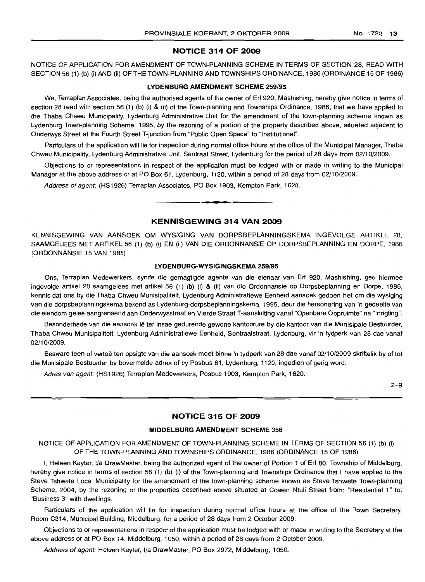#### NO.1722 13

### **NOTICE 314 OF 2009**

NOTICE OF APPLICATION FOR AMENDMENT OF TOWN-PLANNING SCHEME IN TERMS OF SECTION 28, READ WITH SECTION 56 (1) (b) (i) AND (ii) OF THE TOWN-PLANNING AND TOWNSHIPS ORDINANCE, 1986 (ORDINANCE 15 OF 1986)

# **LYDENBURG AMENDMENT SCHEME** 259/95

We, Terraplan Associates, being the authorised agents of the owner of Erf 920, Mashishing, hereby give notice in terms of section 28 read with section 56 (1) (b) (i) & (ii) of the Town-planning and Townships Ordinance, 1986, that we have applied to the Thaba Chweu Municipality, Lydenburg Administrative Unit for the amendment of the town-planning scheme known as Lydenburg Town-planning Scheme, 1995, by the rezoning of a portion of the property described above, situated adjacent to Onderwys Street at the Fourth Street T-junction from "Public Open Space" to "Institutional".

Particulars of the application will lie for inspection during normal office hours at the office of the Municipal Manager, Thaba Chweu Municipality, Lydenburg Administrative Unit, Sentraal Street, Lydenburg for the period of 28 days from 02/10/2009.

Objections to or representations in respect of the application must be lodged with or made in writing to the Municipal Manager at the above address or at PO Box 61, Lydenburg, 1120, within a period of 28 days from 02/10/2009.

Address of agent: (HS1926) Terraplan Associates, PO Box 1903, Kempton Park, 1620. **-.**

# **KENNISGEWING 314 VAN 2009**

KENNISGEWING VAN AANSOEK OM WYSIGING VAN DORPSBEPLANNINGSKEMA INGEVOLGE ARTIKEL 28, SAAMGELEES MET ARTIKEL 56 (1) (b) (i) EN (ii) VAN DIE ORDONNANSIE OP DORPSBEPLANNING EN DORPE, 1986 (ORDONNANSIE 15 VAN 1986)

#### **LYDENBURG-WYSIGINGSKEMA** 259/95

Ons, Terraplan Medewerkers, synde die gemagtigde agente van die eienaar van Erf 920, Mashishing, gee hiermee ingevolge artikel 28 saamgelees met artikel 56 (1) (b) (i) & (ii) van die Ordonnansie op Dorpsbeplanning en Dorpe, 1986, kennis dat ons by die Thaba Chweu Munisipaliteit, Lydenburg Administratiewe Eenheid aansoek gedoen het om die wysiging van die dorpsbeplanningskema bekend as Lydenburg-dorpsbeplanningskema, 1995, deur die hersonering van 'n gedeelte van die eiendom geleë aangrensend aan Onderwysstraat en Vierde Straat T-aansluiting vanaf "Openbare Oopruimte" na "Inrigting".

Besonderhede van die aansoek lê ter insae gedurende gewone kantoorure by die kantoor van die Munisipale Bestuurder, Thaba Chweu Munisipaliteit, Lydenburg Administratiewe Eenheid, Sentraalstraat, Lydenburg, vir 'n tydperk van 28 dae vanaf 02/10/2009.

Besware teen of vertoë ten opsigte van die aansoek moet binne 'n tydperk van 28 dae vanaf 02/10/2009 skriftelik by of tot die Munisipale Bestuurder by bovermelde adres of by Posbus 61, Lydenburg, 1120, ingedien of gerig word.

Adres van agent: (HS1926) Terraplan Medewerkers, Posbus 1903, Kempton Park, 1620.

 $2 - 9$ 

# **NOTICE 315 OF 2009**

### **MIDDELBURG AMENDMENT SCHEME** 358

NOTICE OF APPLICATION FOR AMENDMENT OF TOWN-PLANNING SCHEME IN TERMS OF SECTION 56 (1) (b) (i) OF THE TOWN-PLANNING AND TOWNSHIPS ORDINANCE, 1986 (ORDINANCE 15 OF 1986)

I, Heleen Keyter, *Va* DrawMaster, being the authorized agent of the owner of Portion 1 of Erf 80, Township of Middelburg, hereby give notice in terms of section 56 (1) (b) (i) of the Town-planning and Townships Ordinance that I have applied to the Steve Tshwete Local Municipality for the amendment of the town-planning scheme known as Steve Tshwete Town-planning Scheme, 2004, by the rezoninq of the properties described above situated at Cowen Ntuli Street from: "Residential 1" to: "Business 3" with dwellings.

Particulars of the application will lie for inspection during normal office hours at the office of the Town Secretary, Room C314, Municipal Building, Middelburg, for a period of 28 days from 2 October 2009.

Objections to or representations in respect of the application must be lodged with or made in writing to the Secretary at the above address or at PO Box 14. Middelburg, 1050, within a period of 28 days from 2 October 2009.

Address of agent: Heleen Keyter, t/a DrawMaster, PO Box 2972, Middelburg, 1050.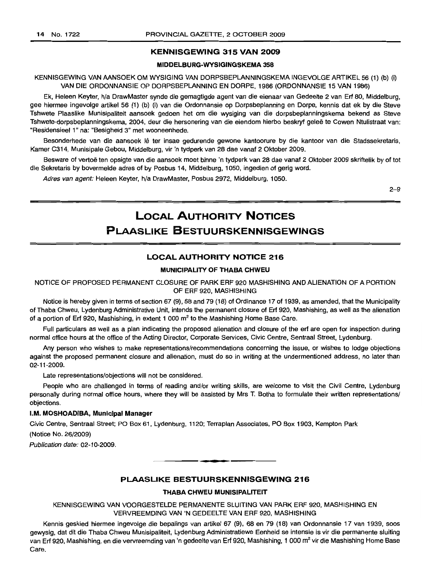## **KENNISGEWING 315 VAN 2009**

# **MIDDELBURG-WYSIGINGSKEMA 358**

KENNISGEWING VAN AANSOEK OM WYSIGING VAN DORPSBEPLANNINGSKEMA INGEVOLGE ARTIKEL 56 (1) (b) (i) VAN DIE ORDONNANSIE OP DORPSBEPLANNING EN DORPE, 1986 (ORDONNANSIE 15 VAN 1986)

Ek, Heleen Keyter, h/a DrawMaster synde die gemagtigde agent van die eienaar van Gedeelte 2 van Erf 80, Middelburg, gee hiermee ingevolge artikel 56 (1) (b) (i) van die Ordonnansie op Dorpsbeplanning en Dorpe, kennis dat ek by die Steve Tshwete Plaaslike Munisipaliteit aansoek gedoen het om die wysiging van die dorpsbeplanningskema bekend as Steve Tshwete-dorpsbeplanningskema, 2004, deur die hersonering van die eiendom hierbo beskryf gelee te Cowen Ntulistraat van: "Residensieel 1" na: "Besigheid 3" met wooneenhede.

Besonderhede van die aansoek lê ter insae gedurende gewone kantoorure by die kantoor van die Stadssekretaris, Kamer C314, Munisipale Gebou, Middelburg, vir 'n tydperk van 28 dae vanaf 2 Oktober 2009.

Besware of vertoë ten opsigte van die aansoek moet binne 'n tydperk van 28 dae vanaf 2 Oktober 2009 skriftelik by of tot die Sekretaris by bovermelde adres of by Posbus 14, Middelburg, 1050, ingedien of gerig word.

Adres van agent: Heleen Keyter, h/a DrawMaster, Posbus 2972, Middelburg, 1050.

2-9

# **LOCAL AUTHORITY NOTICES PLAASLIKE BESTUURSKENNISGEWINGS**

# **LOCAL AUTHORITY NOTICE 216**

# **MUNICIPALITY OF THABA CHWEU**

NOTICE OF PROPOSED PERMANENT CLOSURE OF PARK ERF 920 MASHISHING AND ALIENATION OF A PORTION OF ERF 920, MASHISHING

Notice is hereby given in terms of section 67 (9), 68 and 79 (18) of Ordinance 17 of 1939, as amended, that the Municipality of Thaba Chweu, Lydenburg Administrative Unit, intends the permanent closure of Erf 920, Mashishing, as well as the alienation of a portion of Erf 920, Mashishing, in extent 1 000 m<sup>2</sup> to the Mashishing Home Base Care.

FUll particulars as well as a plan indicating the proposed alienation and closure of the erf are open for inspection during normal office hours at the office of the Acting Director, Corporate Services, Civic Centre, Sentraal Street, Lydenburg.

Any person who wishes to make representations/recommendations concerning the issue, or wishes to lodge objections against the proposed permanent closure and alienation, must do so in writing at the undermentioned address, no later than 02-11-2009.

Late representations/objections will not be considered.

People who are challenged in terms of reading and/or writing skills, are welcome to visit the Civil Centre, Lydenburg personally during normal office hours, where they will be assisted by Mrs T. Botha to formulate their written representations/ objections.

# **I.M. MOSHOADIBA, Municipal Manager**

Civic Centre, Sentraal Street; PO Box 61, Lydenburg, 1120; Terraplan Associates, PO Box 1903, Kempton Park

(Notice No. 26/2009)

Publication date: 02-10-2009.

# **PLAASLIKE BESTUURSKENNISGEWING 216**

**• F**

#### **THABA CHWEU MUNISIPALITEIT**

KENNISGEWING VAN VOORGESTELDE PERMANENTE SLUITING VAN PARK ERF 920, MASHISHING EN VERVREEMDING VAN 'N GEDEELTE VAN ERF 920, MASHISHING

Kennis geskied hiermee ingevolge die bepalings van artikel 67 (9), 68 en 79 (18) van Ordonnansie 17 van 1939, soos gewysig, dat dit die Thaba Chweu Munisipaliteit, Lydenburg Administratiewe Eenheid se intensie is vir die permanente sluiting van Erf 920, Mashishing, en die vervreemding van 'n gedeelte van Erf 920, Mashishing, 1 000 m<sup>2</sup> vir die Mashishing Home Base Care.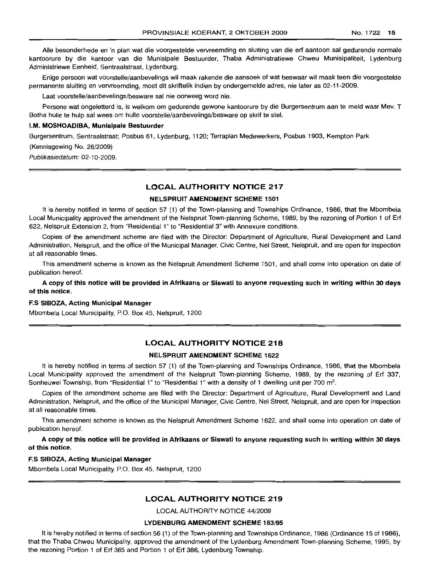Aile besonderhede en 'n plan wat die voorgestelde vervreemding en sluiting van die erf aantoon sal gedurende normale kantoorure by die kantoor van die Munisipale Bestuurder, Thaba Administratiewe Chweu Munisipaliteit, Lydenburg Administriewe Eenheid, Sentraalstraat, Lydenburg.

Enige persoon wat voorstelle/aanbevelings wil maak rakende die aansoek of wat beswaar wil maak teen die voorgestelde permanente sluiting en vervreemding, moet dit skriftelik indien by ondergemelde adres, nie later as 02-11-2009.

Laat voorstelle/aanbevelings/besware sal nie oorweeg word nie.

Persone wat ongeletterd is, is welkom om gedurende gewone kantoorure by die Burgersentrum aan te meld waar Mev. T Botha hulle te hulp sal wees om hulle voorstelle/aanbevelings/besware op skrif te stel.

#### I.M. MOSHOADIBA, Munisipale Bestuurder

Burgersentrum, Sentraalstraat; Posbus 61, Lydenburg, 1120; Terraplan Medewerkers, Posbus 1903, Kempton Park

(Kennisgewing No. 26/2009)

Publikasiedatum: 02-10-2009.

# LOCAL AUTHORITY NOTICE 217

# NELSPRUIT AMENDMENT SCHEME 1501

It is hereby notified in terms of section 57 (1) of the Town-planning and Townships Ordinance, 1986, that the Mbombela Local Municipality approved the amendment of the Nelspruit Town-planning Scheme, 1989, by the rezoning of Portion 1 of Erf 622, Nelspruit Extension 2, from "Residential 1" to "Residential 3" with Annexure conditions.

Copies of the amendment scheme are filed with the Director: Department of Agriculture, Rural Development and Land Administration, Nelspruit, and the office of the Municipal Manager, Civic Centre, Nel Street, Nelspruit, and are open for inspection at all reasonable times.

This amendment scheme is known as the Nelspruit Amendment Scheme 1501, and shall come into operation on date of publication hereof.

A copy of this notice will be provided in Afrikaans or Siswati to anyone requesting such in writing within 30 days of this notice.

### F.S SIBOZA, Acting Municipal Manager

Mbombela Local Municipality, P.O. Box 45, Nelspruit, 1200

# LOCAL AUTHORITY NOTICE 218

### NELSPRUIT AMENDMENT SCHEME 1622

It is hereby notified in terms of section 57 (1) of the Town-planning and Townships Ordinance, 1986, that the Mbombela Local Municipality approved the amendment of the Nelspruit Town-planning Scheme, 1989, by the rezoning of Erf 337, Sonheuwel Township, from "Residential 1" to "Residential 1" with a density of 1 dwelling unit per 700  $m^2$ .

Copies of the amendment scheme are filed with the Director: Department of Agriculture, Rural Development and Land Administration, Nelspruit, and the office of the Municipal Manager, Civic Centre, Nel Street, Nelspruit, and are open for inspection at all reasonable times.

This amendment scheme is known as the Nelspruit Amendment Scheme 1622, and shall come into operation on date of publication hereof.

A copy of this notice will be provided in Afrikaans or Siswati to anyone requesting such in writing within 30 days of this notice.

### ES SIBOZA, Acting Municipal Manager

Mbombela Local Municipality, P.O. Box 45, Nelspruit, 1200

# LOCAL AUTHORITY NOTICE 219

LOCAL AUTHORITY NOTICE 44/2009

#### LYDENBURG AMENDMENT SCHEME 183/95

It is hereby notified in terms of section 56 (1) of the Town-planning and Townships Ordinance, 1986 (Ordinance 15 of 1986), that the Thaba Chweu Municipality, approved the amendment of the Lydenburg Amendment Town-planning Scheme, 1995, by the rezoning Portion 1 of Erf 385 and Portion 1 of Erf 386, Lydenburg Township.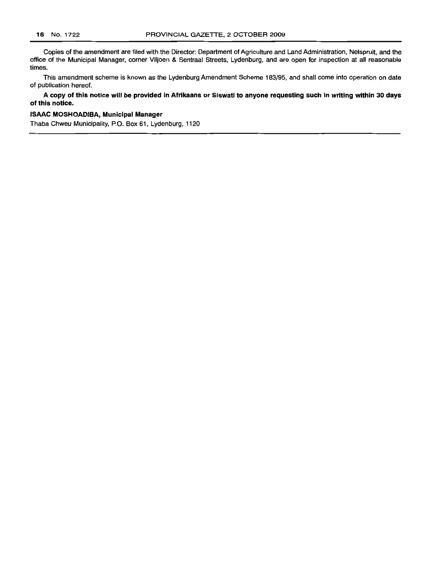Copies of the amendment are filed with the Director: Department of Agriculture and Land Administration, Nelspruit, and the office of the Municipal Manager, corner Viljoen & Sentraal Streets, Lydenburg, and are open for inspection at all reasonable times.

This amendment scheme is known as the Lydenburg Amendment Scheme 183/95, and shall come into operation on date of publication hereof.

A **copy of this notice will be provided in Afrikaans or Siswati to anyone requesting such in writing within 30 days of this notice.**

## **ISAAC MOSHOADIBA, Municipal Manager**

Thaba Chweu Municipality, P.O. Box 61, Lydenburg, 1120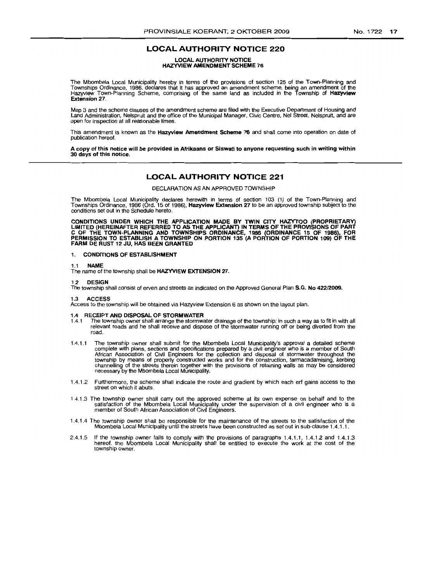# LOCAL AUTHORITY NOTICE 220

# LOCAL AUTHORITY NOTICE HAZYVIEW AMENDMENT SCHEME 76

The Mbombela Local Municipality hereby in terms of the provisions of section 125 of the Town-Planning and<br>Townships Ordinance, 1986, declares that it has approved an amendment scheme, being an amendment of the<br>Hazyview Tow Extension 27.

Map 3 and the scheme clauses of the amendment scheme are filed with the Executive Department of Housing and Land Administration, Nelspruit and the office of the Municipal Manager, Civic Centre, Nel Street, Nelspruit, and are open for inspection at all reasonable times.

This amendment is known as the Hazyview Amendment Scheme 76 and shall come into operation on date of publication hereof.

A copy of this notice will be provided in Afrikaans or Siswati to anyone requesting such in writing within 30 days of this notice.

# LOCAL AUTHORITY NOTICE 221

DECLARATION AS AN APPROVED TOWNSHIP

The Mbombela Local Municipality declares herewith in terms of section 103 (1) of the Town-Planning and<br>Townships Ordinance, 1986 (Ord. 15 of 1986), **Hazyview Extension 27** to be an approved township subject to the conditions set out in the Schedule hereto.

CONDITIONS UNDER WHICH THE APPLICATION MADE BY TWIN CITY HAZYTOO (PROPRIETARY)<br>LIMITED (HEREINAFTER REFERRED TO AS THE APPLICANT) IN TERMS OF THE PROVISIONS OF PART<br>C OF THE TOWN-PLANNING AND TOWNSHIPS ORDINANCE, 1986 (ORD FARM DE RUST 12 JU. HAS BEEN GRANTED

#### 1. CONDITIONS OF ESTABLISHMENT

#### 1.1 NAME

The name of the township shall be HAZYVIEW EXTENSION 27.

#### 1.2 DESIGN

The township shall consist of erven and streets as indicated on the Approved General Plan S.G. No 422/2009.

#### 1.3 ACCESS

Access to the township will be obtained via Hazyview Extension 6 as shown on the layout plan.

# 1.4 RECEIPT AND DISPOSAL OF STORMWATER<br>1.4.1 The township owner shall arrange the stormware

- 1.4.1 The township owner shall arrange the stormwater drainage of the township; in such a way as to fit in with all relevant roads and he shall receive and dispose of the stormwater running off or being diverted from the road.
- 1.4.1.1 The township owner shall submit for the Mbombela Local Municipality's approval a detailed scheme complete with plans, sections and specifications prepared by a civil engineer who is a member of South<br>African Association of Civil Engineers for the collection and disposal of stormwater throughout the<br>township by means o
- 1.4.1.2 Furthermore, the scheme shall indicate the route and gradient by which each erf gains access to the street on which it abuts.
- 1.4.1.3 The township owner shall carry out the approved scheme at its own expense on behalf and to the satisfaction of the Mbombela Local Municipality under the supervision of a civil engineer who is a member of South Afri
- 1.4.1.4 The township owner shall be responsible for the maintenance of the streets to the satisfaction of the Mbombela Local Municipality until the streets have been constructed as set out in sub-clause 1.4.1.1.
- 2.4.1.5 If the township owner fails to comply with the provisions of paragraphs 1.4.1.1, 1.4.1.2 and 1.4.1.3 hereof, the Mbombela Local Municipality shall be entitled to execute the work at the cost of the township owner.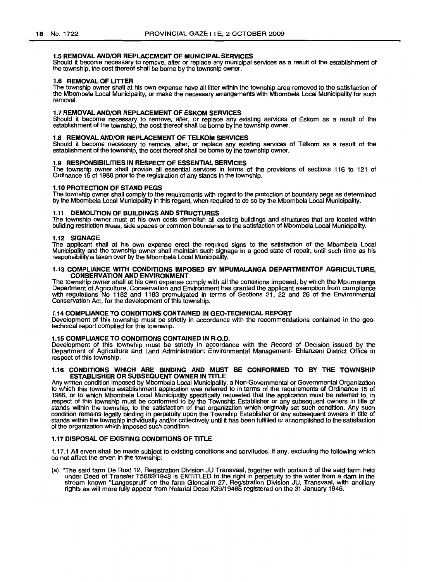# 1.5 REMOVAL AND/OR REPLACEMENT OF MUNICIPAL SERVICES

Should it become necessary to remove, alter or replace any municipal services as a result of the establishment of the township, the cost thereof shall be borne by the township owner.

### 1.6 REMOVAL OF LITTER

The township owner shall at his own expense have all litter within the township area removed to the satisfaction of the Mbombela Local Municipality, or make the necessary arrangements with Mbombela Local Municipality for such removal.

#### 1.7 REMOVAL AND/OR REPLACEMENT OF ESKOM SERVICES

Should it become necessary to remove, alter, or replace any existing services of Eskom as a result of the establishment of the township, the cost thereof shall be borne by the township owner.

# 1.8 REMOVAL AND/OR REPLACEMENT OF TELKOM SERVICES

Should it become necessary to remove, alter, or replace any existing services of Telkom as a result of the establishment of the township, the cost thereof shall be borne by the township owner.

### 1.9 RESPONSIBILITIES IN RESPECT OF ESSENTIAL SERVICES

The township owner shall provide all essential services in terms of the provisions of sections 116 to 121 of Ordinance 15 of 1986 prior to the registration of any stands in the township.

#### 1.10 PROTECTION OF STAND PEGS

The township owner shall comply to the requirements with regard to the protection of boundary pegs as determined by the Mbombela Local Municipality in this regard, when required to do so by the Mbombela Local Municipality.

#### 1.11 DEMOLITION OF BUILDINGS AND STRUCTURES

The township owner must at his own costs demolish all existing buildings and structures that are located within building restriction areas, side spaces or common boundaries to the satisfaction of Mbombela Local Municipality.

### 1.12 SIGNAGE

The applicant shall at his own expense erect the required signs to the satisfaction of the Mbombela Local Municipality and the township owner shall maintain such signage in a good state of repair, until such time as his responsibility is taken over by the Mbombela Local Municipality.

### 1.13 COMPLIANCE WITH CONDITIONS IMPOSED BY MPUMALANGA DEPARTMENTOF AGRICULTURE, CONSERVATION AND ENVIRONMENT

The township owner shall at his own expense comply with all the conditions imposed, by which the Mpumalanga Department of Agriculture, Conservation and Environment has granted the applicant exemption from compliance with regulations No 1182 and 1183 promulgated in terms of Sections 21, 22 and 26 of the Environmental Conservation Act, for the development of this township.

#### 1.14 COMPLIANCE TO CONDITIONS CONTAINED IN GEO-TECHNICAL REPORT

Development of this township must be strictly in accordance with the recommendations contained in the geotechnical report compiled for this township.

# 1.15 COMPLIANCE TO CONDITIONS CONTAINED IN R.O.D.

Development of this township must be strictly in accordance with the Record of Decision issued by the Department of Agriculture and Land Administration: Environmental Management- Ehlanzeni District Office in respect of this township.

#### 1.16 CONDITIONS WHICH ARE BINDING AND MUST BE CONFORMED TO BY THE TOWNSHIP ESTABLISHER OR SUBSEQUENT OWNER IN TITLE

Any written condition imposed by Mbombela Local Municipality, a Non-Governmental or Governmental Organization to which this township establishment application was referred to in terms of the requirements of Ordinance 15 of 1986, or to which Mbombela Local Municipality specifically requested that the application must be referred to, in respect of this township must be conformed to by the Township Establisher or any subsequent owners in title of stands within the township, to the satisfaction of that organization which originally set such condition. Any such condition remains legally binding in perpetuity upon the Township Establisher or any subsequent owners in title of stands within the township individually and/or collectively until it has been fulfilled or accomplished to the satisfaction of the organization which imposed such condition.

#### 1.17 DISPOSAL OF EXISTING CONDITiONS OF TITLE

1.17.1 All erven shall be made subject to existing conditions and servitudes, if any, excluding the following which do not affect the erven in the township:

(a) 'The said farm De Rust 12, Registration Division JU Transvaal, together with portion 5 of the said farm held under Deed of Transfer T5682/1948 is ENTITLED to the right in perpetuity to the water from a dam in the stream known "Langespruit" on the farm Glencairn 27, Registration Division JU, Transvaal, with ancillary rights as will more fully appear from Notarial Deed K39/1946S registered on the 31 January 1946.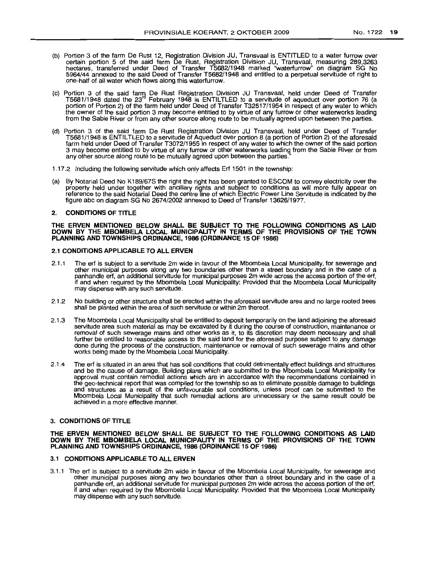- (b) Portion 3 of the farm De Rust 12, Registration Division JU, Transvaal is ENTITLED to a water furrow over certain portion 5 of the said farm De Rust, Registration Division JU, Transvaal, measuring 289,3263 hectares, transferred under Deed of Transfer T5682/1948 marked ''waterturrow'' on diagram SG No 5964/44 annexed to the said Deed of Transfer T5682/1948 and entitled to a perpetual servitude of right to one-half of all water which flows along this waterturrow.
- (c) Portion 3 of the said farm De Rust Registration Division JU Transvaal, held under Deed of Transfer T5681/1948 dated the 23' February 1948 is ENTILTLED to a servitude of aqueduct over portion 76 (a portion of Portion 2) of the farm held under Deed of Transfer T32517/1954 in respect of any water to which the owner of the said portion 3 may become entitled to by virtue of any furrow or other waterworks leading from the Sabie River or from any other source along route to be mutually agreed upon between the parties.
- (d) Portion 3 of the said farm De Rust Registration Division JU Transvaal, held under Deed of Transfer T5681/1948 is ENTILTLED to a servitude of Aqueduct over portion 8 (a portion of Portion 2) of the aforesaid farm held under Deed of Transfer T3072/1955 in respect of any water to which the owner of the said portion 3 may become entitled to by virtue of any furrow or other waterworks leading from the Sabie River or from any other source along route to be mutually agreed upon between the parties."
- 1.17.2 Including the following servitude which only affects Ert 1501 in the township:
- (a) By Notarial Deed No K189/67S the right the right has been granted to ESCOM to convey electricity over the property held under together with ancillary rights and subject to conditions as will more fully appear on reference to the said Notarial Deed the centre line of which Electric Power Line Servitude is indicated by the figure abc on diagram SG No 2674/2002 annexed to Deed of Transfer 13626/1977.

### 2. CONDITIONS OF TITLE

#### THE ERVEN MENTIONED BELOW SHALL BE SUBJECT TO THE FOLLOWING CONDITIONS AS LAID DOWN BY THE MBOMBELA LOCAL MUNICIPALITY IN TERMS OF THE PROVISIONS OF THE TOWN PLANNING AND TOWNSHIPS ORDINANCE, 1986 (ORDINANCE 15 OF 1986)

### 2.1 CONDITIONS APPLICABLE TO ALL ERVEN

- 2.1.1 The ert is subject to a servitude 2m wide in favour of the Mbombela Local Municipality, for sewerage and other municipal purposes along any two boundaries other than a street boundary and in the case of a panhandle ert, an additional servitude for municipal purposes 2m wide across the access portion of the ert, if and when required by the Mbombela Local Municipality: Provided that the Mbombela Local Municipality may dispense with any such servitude.
- 2.1.2 No building or other structure shall be erected within the aforesaid servitude area and no large rooted trees shall be planted within the area of such servitude or within 2m thereof.
- 2.1.3 The Mbombela Local Municipality shall be entitled to deposit temporarily on the land adjoining the aforesaid servitude area such material as may be excavated by it during the course of construction, maintenance or removal of such sewerage mains and other works as it, to its discretion may deem necessary and shall further be entitled to reasonable access to the said land for the aforesaid purpose subject to any damage done during the process of the construction, maintenance or removal of such sewerage mains and other works being made by the Mbombela Local Municipality.
- 2.1.4 The ert is situated in an area that has soil conditions that could detrimentally effect buildings and structures and be the cause of damage. Building plans which are submitted to the Mbombela Local Municipality for approval must contain remedial actions which are in accordance with the recommendations contained in the geo-technical report that was compiled for the township so as to eliminate possible damage to buildings and structures as a result of the unfavourable soil conditions, unless proof can be submitted to the Mbombela Local Municipality that such remedial actions are unnecessary or the same result could be achieved in a more effective manner.

#### 3. CONDITIONS OF TITLE

#### THE ERVEN MENTIONED BELOW SHALL BE SUBJECT TO THE FOLLOWING CONDITIONS AS LAID DOWN BY THE MBOMBELA LOCAL MUNICIPALITY IN TERMS OF THE PROVISIONS OF THE TOWN PLANNING AND TOWNSHIPS ORDINANCE, 1986 (ORDINANCE 15 OF 1986)

# 3.1 CONDITIONS APPLICABLE TO ALL ERVEN

3.1.1 The ert is SUbject to a servitude 2m wide in favour of the Mbombela Local Municipality, for sewerage and other municipal purposes along any two boundaries other than a street boundary and in the case of a panhandle erf, an additional servitude for municipal purposes 2m wide across the access portion of the ert, if and when required by the Mbombela Local Municipality: Provided that the Mbombela Local Municipality may dispense with any such servitude.